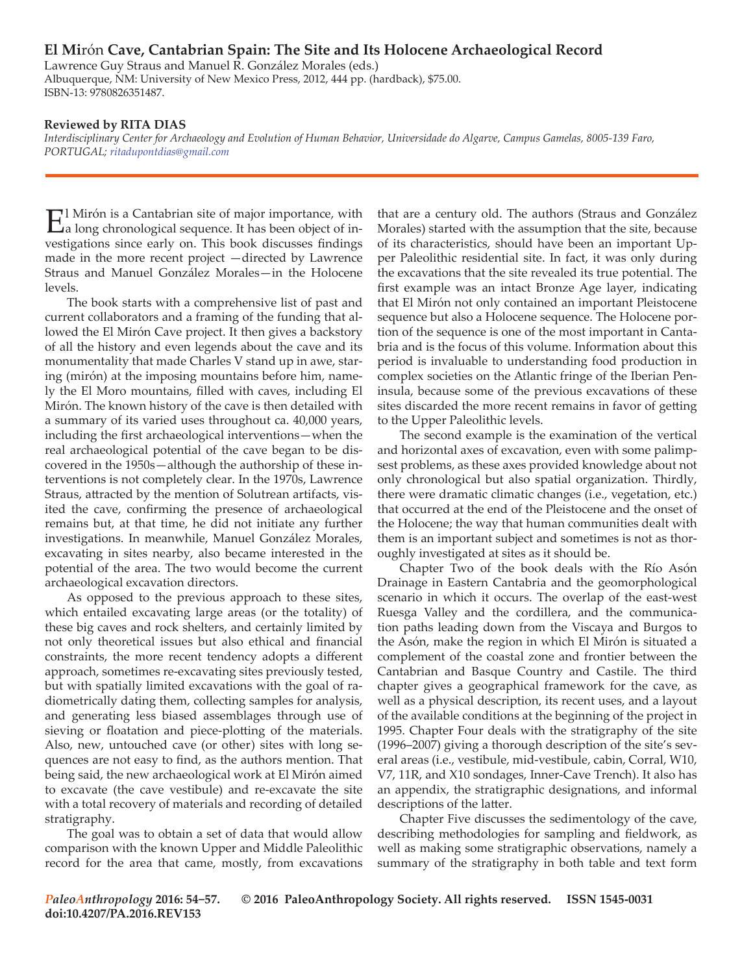## **El Mi**rón **Cave, Cantabrian Spain: The Site and Its Holocene Archaeological Record**

Lawrence Guy Straus and Manuel R. González Morales (eds.) Albuquerque, NM: University of New Mexico Press, 2012, 444 pp. (hardback), \$75.00. ISBN-13: 9780826351487.

## **Reviewed by RITA DIAS**

*Interdisciplinary Center for Archaeology and Evolution of Human Behavior, Universidade do Algarve, Campus Gamelas, 8005-139 Faro, PORTUGAL; ritadupontdias@gmail.com*

El Mirón is a Cantabrian site of major importance, with a long chronological sequence. It has been object of investigations since early on. This book discusses findings made in the more recent project —directed by Lawrence Straus and Manuel González Morales—in the Holocene levels.

The book starts with a comprehensive list of past and current collaborators and a framing of the funding that allowed the El Mirón Cave project. It then gives a backstory of all the history and even legends about the cave and its monumentality that made Charles V stand up in awe, staring (mirón) at the imposing mountains before him, namely the El Moro mountains, filled with caves, including El Mirón. The known history of the cave is then detailed with a summary of its varied uses throughout ca. 40,000 years, including the first archaeological interventions—when the real archaeological potential of the cave began to be discovered in the 1950s—although the authorship of these interventions is not completely clear. In the 1970s, Lawrence Straus, attracted by the mention of Solutrean artifacts, visited the cave, confirming the presence of archaeological remains but, at that time, he did not initiate any further investigations. In meanwhile, Manuel González Morales, excavating in sites nearby, also became interested in the potential of the area. The two would become the current archaeological excavation directors.

As opposed to the previous approach to these sites, which entailed excavating large areas (or the totality) of these big caves and rock shelters, and certainly limited by not only theoretical issues but also ethical and financial constraints, the more recent tendency adopts a different approach, sometimes re-excavating sites previously tested, but with spatially limited excavations with the goal of radiometrically dating them, collecting samples for analysis, and generating less biased assemblages through use of sieving or floatation and piece-plotting of the materials. Also, new, untouched cave (or other) sites with long sequences are not easy to find, as the authors mention. That being said, the new archaeological work at El Mirón aimed to excavate (the cave vestibule) and re-excavate the site with a total recovery of materials and recording of detailed stratigraphy.

The goal was to obtain a set of data that would allow comparison with the known Upper and Middle Paleolithic record for the area that came, mostly, from excavations

that are a century old. The authors (Straus and González Morales) started with the assumption that the site, because of its characteristics, should have been an important Upper Paleolithic residential site. In fact, it was only during the excavations that the site revealed its true potential. The first example was an intact Bronze Age layer, indicating that El Mirón not only contained an important Pleistocene sequence but also a Holocene sequence. The Holocene portion of the sequence is one of the most important in Cantabria and is the focus of this volume. Information about this period is invaluable to understanding food production in complex societies on the Atlantic fringe of the Iberian Peninsula, because some of the previous excavations of these sites discarded the more recent remains in favor of getting to the Upper Paleolithic levels.

The second example is the examination of the vertical and horizontal axes of excavation, even with some palimpsest problems, as these axes provided knowledge about not only chronological but also spatial organization. Thirdly, there were dramatic climatic changes (i.e., vegetation, etc.) that occurred at the end of the Pleistocene and the onset of the Holocene; the way that human communities dealt with them is an important subject and sometimes is not as thoroughly investigated at sites as it should be.

Chapter Two of the book deals with the Río Asón Drainage in Eastern Cantabria and the geomorphological scenario in which it occurs. The overlap of the east-west Ruesga Valley and the cordillera, and the communication paths leading down from the Viscaya and Burgos to the Asón, make the region in which El Mirón is situated a complement of the coastal zone and frontier between the Cantabrian and Basque Country and Castile. The third chapter gives a geographical framework for the cave, as well as a physical description, its recent uses, and a layout of the available conditions at the beginning of the project in 1995. Chapter Four deals with the stratigraphy of the site (1996–2007) giving a thorough description of the site's several areas (i.e., vestibule, mid-vestibule, cabin, Corral, W10, V7, 11R, and X10 sondages, Inner-Cave Trench). It also has an appendix, the stratigraphic designations, and informal descriptions of the latter.

Chapter Five discusses the sedimentology of the cave, describing methodologies for sampling and fieldwork, as well as making some stratigraphic observations, namely a summary of the stratigraphy in both table and text form

*PaleoAnthropology* **2016: 54−57. © 2016 PaleoAnthropology Society. All rights reserved. ISSN 1545-0031 doi:10.4207/PA.2016.REV153**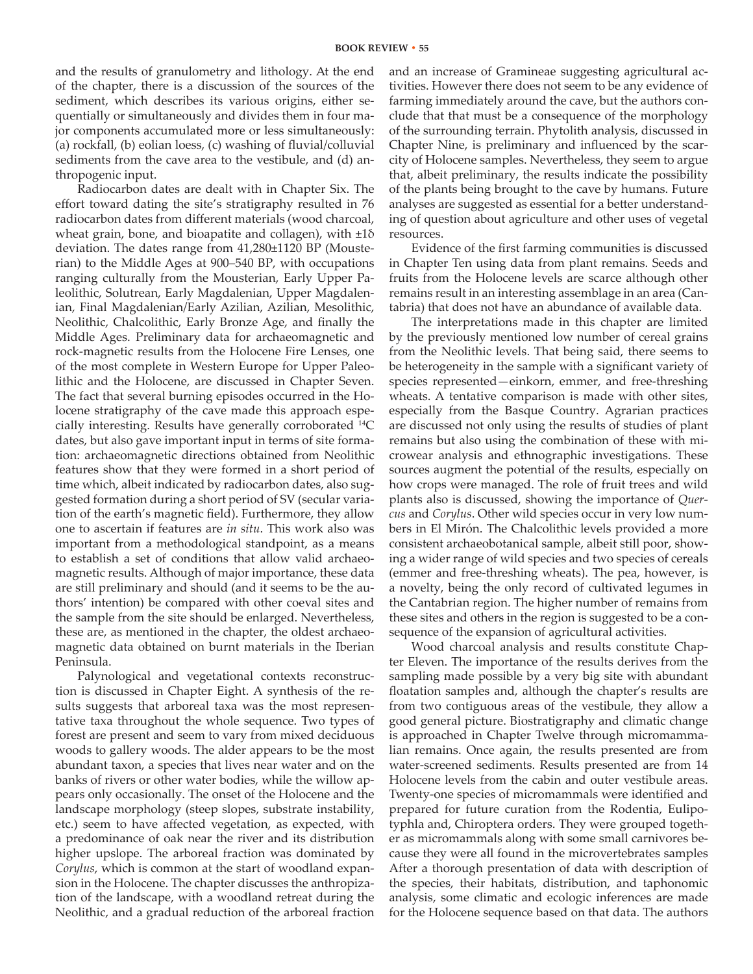and the results of granulometry and lithology. At the end of the chapter, there is a discussion of the sources of the sediment, which describes its various origins, either sequentially or simultaneously and divides them in four major components accumulated more or less simultaneously: (a) rockfall, (b) eolian loess, (c) washing of fluvial/colluvial sediments from the cave area to the vestibule, and (d) anthropogenic input.

Radiocarbon dates are dealt with in Chapter Six. The effort toward dating the site's stratigraphy resulted in 76 radiocarbon dates from different materials (wood charcoal, wheat grain, bone, and bioapatite and collagen), with  $\pm 1\delta$ deviation. The dates range from 41,280±1120 BP (Mousterian) to the Middle Ages at 900–540 BP, with occupations ranging culturally from the Mousterian, Early Upper Paleolithic, Solutrean, Early Magdalenian, Upper Magdalenian, Final Magdalenian/Early Azilian, Azilian, Mesolithic, Neolithic, Chalcolithic, Early Bronze Age, and finally the Middle Ages. Preliminary data for archaeomagnetic and rock-magnetic results from the Holocene Fire Lenses, one of the most complete in Western Europe for Upper Paleolithic and the Holocene, are discussed in Chapter Seven. The fact that several burning episodes occurred in the Holocene stratigraphy of the cave made this approach especially interesting. Results have generally corroborated 14C dates, but also gave important input in terms of site formation: archaeomagnetic directions obtained from Neolithic features show that they were formed in a short period of time which, albeit indicated by radiocarbon dates, also suggested formation during a short period of SV (secular variation of the earth's magnetic field). Furthermore, they allow one to ascertain if features are *in situ*. This work also was important from a methodological standpoint, as a means to establish a set of conditions that allow valid archaeomagnetic results. Although of major importance, these data are still preliminary and should (and it seems to be the authors' intention) be compared with other coeval sites and the sample from the site should be enlarged. Nevertheless, these are, as mentioned in the chapter, the oldest archaeomagnetic data obtained on burnt materials in the Iberian Peninsula.

Palynological and vegetational contexts reconstruction is discussed in Chapter Eight. A synthesis of the results suggests that arboreal taxa was the most representative taxa throughout the whole sequence. Two types of forest are present and seem to vary from mixed deciduous woods to gallery woods. The alder appears to be the most abundant taxon, a species that lives near water and on the banks of rivers or other water bodies, while the willow appears only occasionally. The onset of the Holocene and the landscape morphology (steep slopes, substrate instability, etc.) seem to have affected vegetation, as expected, with a predominance of oak near the river and its distribution higher upslope. The arboreal fraction was dominated by *Corylus*, which is common at the start of woodland expansion in the Holocene. The chapter discusses the anthropization of the landscape, with a woodland retreat during the Neolithic, and a gradual reduction of the arboreal fraction and an increase of Gramineae suggesting agricultural activities. However there does not seem to be any evidence of farming immediately around the cave, but the authors conclude that that must be a consequence of the morphology of the surrounding terrain. Phytolith analysis, discussed in Chapter Nine, is preliminary and influenced by the scarcity of Holocene samples. Nevertheless, they seem to argue that, albeit preliminary, the results indicate the possibility of the plants being brought to the cave by humans. Future analyses are suggested as essential for a better understanding of question about agriculture and other uses of vegetal resources.

Evidence of the first farming communities is discussed in Chapter Ten using data from plant remains. Seeds and fruits from the Holocene levels are scarce although other remains result in an interesting assemblage in an area (Cantabria) that does not have an abundance of available data.

The interpretations made in this chapter are limited by the previously mentioned low number of cereal grains from the Neolithic levels. That being said, there seems to be heterogeneity in the sample with a significant variety of species represented—einkorn, emmer, and free-threshing wheats. A tentative comparison is made with other sites, especially from the Basque Country. Agrarian practices are discussed not only using the results of studies of plant remains but also using the combination of these with microwear analysis and ethnographic investigations. These sources augment the potential of the results, especially on how crops were managed. The role of fruit trees and wild plants also is discussed, showing the importance of *Quercus* and *Corylus*. Other wild species occur in very low numbers in El Mirón. The Chalcolithic levels provided a more consistent archaeobotanical sample, albeit still poor, showing a wider range of wild species and two species of cereals (emmer and free-threshing wheats). The pea, however, is a novelty, being the only record of cultivated legumes in the Cantabrian region. The higher number of remains from these sites and others in the region is suggested to be a consequence of the expansion of agricultural activities.

Wood charcoal analysis and results constitute Chapter Eleven. The importance of the results derives from the sampling made possible by a very big site with abundant floatation samples and, although the chapter's results are from two contiguous areas of the vestibule, they allow a good general picture. Biostratigraphy and climatic change is approached in Chapter Twelve through micromammalian remains. Once again, the results presented are from water-screened sediments. Results presented are from 14 Holocene levels from the cabin and outer vestibule areas. Twenty-one species of micromammals were identified and prepared for future curation from the Rodentia, Eulipotyphla and, Chiroptera orders. They were grouped together as micromammals along with some small carnivores because they were all found in the microvertebrates samples After a thorough presentation of data with description of the species, their habitats, distribution, and taphonomic analysis, some climatic and ecologic inferences are made for the Holocene sequence based on that data. The authors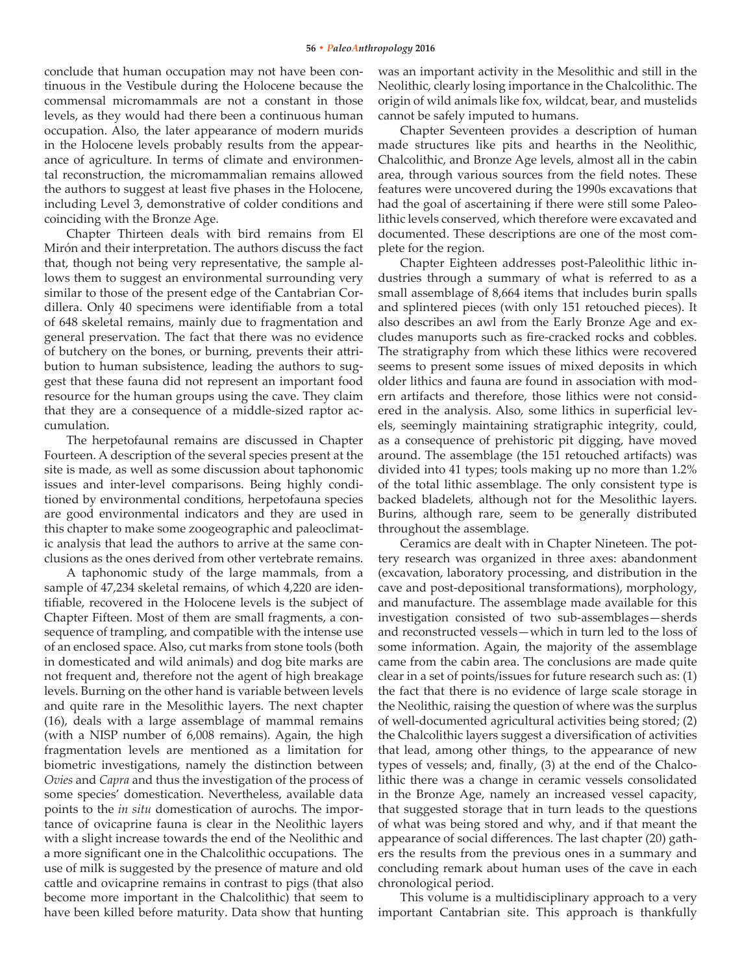conclude that human occupation may not have been continuous in the Vestibule during the Holocene because the commensal micromammals are not a constant in those levels, as they would had there been a continuous human occupation. Also, the later appearance of modern murids in the Holocene levels probably results from the appearance of agriculture. In terms of climate and environmental reconstruction, the micromammalian remains allowed the authors to suggest at least five phases in the Holocene, including Level 3, demonstrative of colder conditions and coinciding with the Bronze Age.

Chapter Thirteen deals with bird remains from El Mirón and their interpretation. The authors discuss the fact that, though not being very representative, the sample allows them to suggest an environmental surrounding very similar to those of the present edge of the Cantabrian Cordillera. Only 40 specimens were identifiable from a total of 648 skeletal remains, mainly due to fragmentation and general preservation. The fact that there was no evidence of butchery on the bones, or burning, prevents their attribution to human subsistence, leading the authors to suggest that these fauna did not represent an important food resource for the human groups using the cave. They claim that they are a consequence of a middle-sized raptor accumulation.

The herpetofaunal remains are discussed in Chapter Fourteen. A description of the several species present at the site is made, as well as some discussion about taphonomic issues and inter-level comparisons. Being highly conditioned by environmental conditions, herpetofauna species are good environmental indicators and they are used in this chapter to make some zoogeographic and paleoclimatic analysis that lead the authors to arrive at the same conclusions as the ones derived from other vertebrate remains.

A taphonomic study of the large mammals, from a sample of 47,234 skeletal remains, of which 4,220 are identifiable, recovered in the Holocene levels is the subject of Chapter Fifteen. Most of them are small fragments, a consequence of trampling, and compatible with the intense use of an enclosed space. Also, cut marks from stone tools (both in domesticated and wild animals) and dog bite marks are not frequent and, therefore not the agent of high breakage levels. Burning on the other hand is variable between levels and quite rare in the Mesolithic layers. The next chapter (16), deals with a large assemblage of mammal remains (with a NISP number of 6,008 remains). Again, the high fragmentation levels are mentioned as a limitation for biometric investigations, namely the distinction between *Ovies* and *Capra* and thus the investigation of the process of some species' domestication. Nevertheless, available data points to the *in situ* domestication of aurochs. The importance of ovicaprine fauna is clear in the Neolithic layers with a slight increase towards the end of the Neolithic and a more significant one in the Chalcolithic occupations. The use of milk is suggested by the presence of mature and old cattle and ovicaprine remains in contrast to pigs (that also become more important in the Chalcolithic) that seem to have been killed before maturity. Data show that hunting

was an important activity in the Mesolithic and still in the Neolithic, clearly losing importance in the Chalcolithic. The origin of wild animals like fox, wildcat, bear, and mustelids cannot be safely imputed to humans.

Chapter Seventeen provides a description of human made structures like pits and hearths in the Neolithic, Chalcolithic, and Bronze Age levels, almost all in the cabin area, through various sources from the field notes. These features were uncovered during the 1990s excavations that had the goal of ascertaining if there were still some Paleolithic levels conserved, which therefore were excavated and documented. These descriptions are one of the most complete for the region.

Chapter Eighteen addresses post-Paleolithic lithic industries through a summary of what is referred to as a small assemblage of 8,664 items that includes burin spalls and splintered pieces (with only 151 retouched pieces). It also describes an awl from the Early Bronze Age and excludes manuports such as fire-cracked rocks and cobbles. The stratigraphy from which these lithics were recovered seems to present some issues of mixed deposits in which older lithics and fauna are found in association with modern artifacts and therefore, those lithics were not considered in the analysis. Also, some lithics in superficial levels, seemingly maintaining stratigraphic integrity, could, as a consequence of prehistoric pit digging, have moved around. The assemblage (the 151 retouched artifacts) was divided into 41 types; tools making up no more than 1.2% of the total lithic assemblage. The only consistent type is backed bladelets, although not for the Mesolithic layers. Burins, although rare, seem to be generally distributed throughout the assemblage.

Ceramics are dealt with in Chapter Nineteen. The pottery research was organized in three axes: abandonment (excavation, laboratory processing, and distribution in the cave and post-depositional transformations), morphology, and manufacture. The assemblage made available for this investigation consisted of two sub-assemblages—sherds and reconstructed vessels—which in turn led to the loss of some information. Again, the majority of the assemblage came from the cabin area. The conclusions are made quite clear in a set of points/issues for future research such as: (1) the fact that there is no evidence of large scale storage in the Neolithic, raising the question of where was the surplus of well-documented agricultural activities being stored; (2) the Chalcolithic layers suggest a diversification of activities that lead, among other things, to the appearance of new types of vessels; and, finally, (3) at the end of the Chalcolithic there was a change in ceramic vessels consolidated in the Bronze Age, namely an increased vessel capacity, that suggested storage that in turn leads to the questions of what was being stored and why, and if that meant the appearance of social differences. The last chapter (20) gathers the results from the previous ones in a summary and concluding remark about human uses of the cave in each chronological period.

This volume is a multidisciplinary approach to a very important Cantabrian site. This approach is thankfully